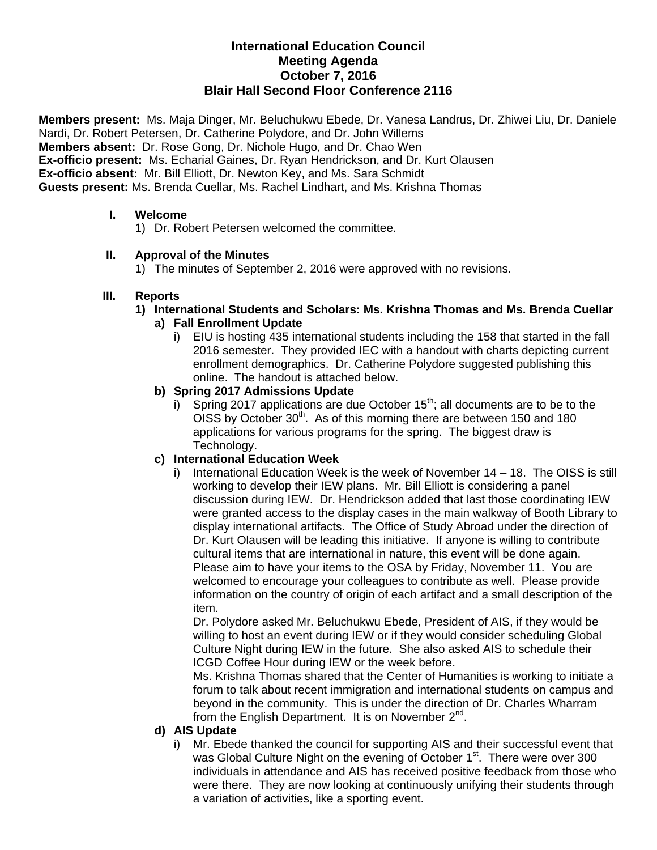# **International Education Council Meeting Agenda October 7, 2016 Blair Hall Second Floor Conference 2116**

**Members present:** Ms. Maja Dinger, Mr. Beluchukwu Ebede, Dr. Vanesa Landrus, Dr. Zhiwei Liu, Dr. Daniele Nardi, Dr. Robert Petersen, Dr. Catherine Polydore, and Dr. John Willems **Members absent:** Dr. Rose Gong, Dr. Nichole Hugo, and Dr. Chao Wen **Ex-officio present:** Ms. Echarial Gaines, Dr. Ryan Hendrickson, and Dr. Kurt Olausen **Ex-officio absent:** Mr. Bill Elliott, Dr. Newton Key, and Ms. Sara Schmidt **Guests present:** Ms. Brenda Cuellar, Ms. Rachel Lindhart, and Ms. Krishna Thomas

### **I. Welcome**

1) Dr. Robert Petersen welcomed the committee.

### **II. Approval of the Minutes**

1) The minutes of September 2, 2016 were approved with no revisions.

### **III. Reports**

**1) International Students and Scholars: Ms. Krishna Thomas and Ms. Brenda Cuellar** 

# **a) Fall Enrollment Update**

i) EIU is hosting 435 international students including the 158 that started in the fall 2016 semester. They provided IEC with a handout with charts depicting current enrollment demographics. Dr. Catherine Polydore suggested publishing this online. The handout is attached below.

### **b) Spring 2017 Admissions Update**

i) Spring 2017 applications are due October  $15<sup>th</sup>$ ; all documents are to be to the OISS by October 30<sup>th</sup>. As of this morning there are between 150 and 180 applications for various programs for the spring. The biggest draw is Technology.

# **c) International Education Week**

i) International Education Week is the week of November 14 – 18. The OISS is still working to develop their IEW plans. Mr. Bill Elliott is considering a panel discussion during IEW. Dr. Hendrickson added that last those coordinating IEW were granted access to the display cases in the main walkway of Booth Library to display international artifacts. The Office of Study Abroad under the direction of Dr. Kurt Olausen will be leading this initiative. If anyone is willing to contribute cultural items that are international in nature, this event will be done again. Please aim to have your items to the OSA by Friday, November 11. You are welcomed to encourage your colleagues to contribute as well. Please provide information on the country of origin of each artifact and a small description of the item.

Dr. Polydore asked Mr. Beluchukwu Ebede, President of AIS, if they would be willing to host an event during IEW or if they would consider scheduling Global Culture Night during IEW in the future. She also asked AIS to schedule their ICGD Coffee Hour during IEW or the week before.

Ms. Krishna Thomas shared that the Center of Humanities is working to initiate a forum to talk about recent immigration and international students on campus and beyond in the community. This is under the direction of Dr. Charles Wharram from the English Department. It is on November  $2^{nd}$ .

#### **d) AIS Update**

i) Mr. Ebede thanked the council for supporting AIS and their successful event that was Global Culture Night on the evening of October  $1<sup>st</sup>$ . There were over 300 individuals in attendance and AIS has received positive feedback from those who were there. They are now looking at continuously unifying their students through a variation of activities, like a sporting event.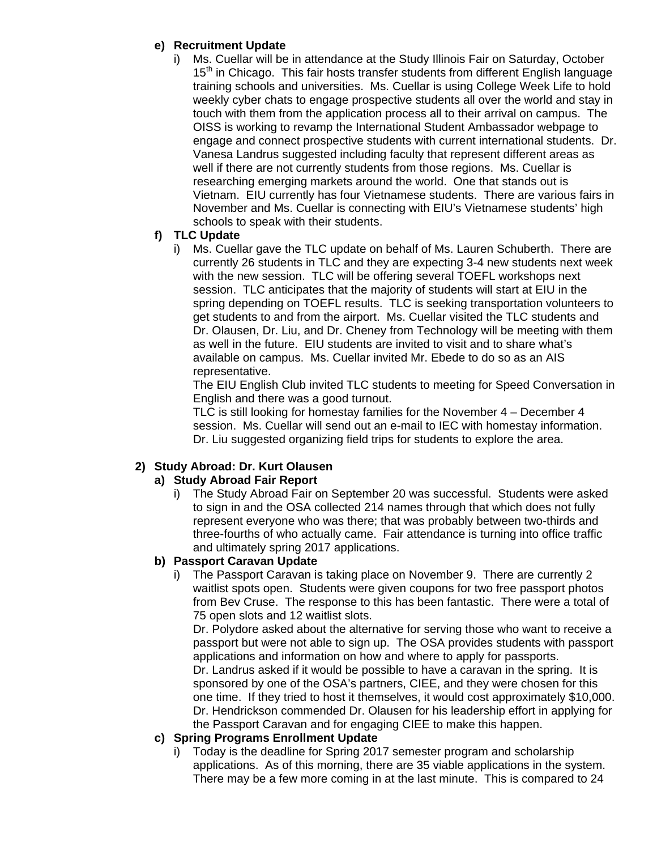### **e) Recruitment Update**

i) Ms. Cuellar will be in attendance at the Study Illinois Fair on Saturday, October 15<sup>th</sup> in Chicago. This fair hosts transfer students from different English language training schools and universities. Ms. Cuellar is using College Week Life to hold weekly cyber chats to engage prospective students all over the world and stay in touch with them from the application process all to their arrival on campus. The OISS is working to revamp the International Student Ambassador webpage to engage and connect prospective students with current international students. Dr. Vanesa Landrus suggested including faculty that represent different areas as well if there are not currently students from those regions. Ms. Cuellar is researching emerging markets around the world. One that stands out is Vietnam. EIU currently has four Vietnamese students. There are various fairs in November and Ms. Cuellar is connecting with EIU's Vietnamese students' high schools to speak with their students.

### **f) TLC Update**

i) Ms. Cuellar gave the TLC update on behalf of Ms. Lauren Schuberth. There are currently 26 students in TLC and they are expecting 3-4 new students next week with the new session. TLC will be offering several TOEFL workshops next session. TLC anticipates that the majority of students will start at EIU in the spring depending on TOEFL results. TLC is seeking transportation volunteers to get students to and from the airport. Ms. Cuellar visited the TLC students and Dr. Olausen, Dr. Liu, and Dr. Cheney from Technology will be meeting with them as well in the future. EIU students are invited to visit and to share what's available on campus. Ms. Cuellar invited Mr. Ebede to do so as an AIS representative.

The EIU English Club invited TLC students to meeting for Speed Conversation in English and there was a good turnout.

TLC is still looking for homestay families for the November 4 – December 4 session. Ms. Cuellar will send out an e-mail to IEC with homestay information. Dr. Liu suggested organizing field trips for students to explore the area.

# **2) Study Abroad: Dr. Kurt Olausen**

# **a) Study Abroad Fair Report**

i) The Study Abroad Fair on September 20 was successful. Students were asked to sign in and the OSA collected 214 names through that which does not fully represent everyone who was there; that was probably between two-thirds and three-fourths of who actually came. Fair attendance is turning into office traffic and ultimately spring 2017 applications.

# **b) Passport Caravan Update**

i) The Passport Caravan is taking place on November 9. There are currently 2 waitlist spots open. Students were given coupons for two free passport photos from Bev Cruse. The response to this has been fantastic. There were a total of 75 open slots and 12 waitlist slots.

Dr. Polydore asked about the alternative for serving those who want to receive a passport but were not able to sign up. The OSA provides students with passport applications and information on how and where to apply for passports. Dr. Landrus asked if it would be possible to have a caravan in the spring. It is sponsored by one of the OSA's partners, CIEE, and they were chosen for this one time. If they tried to host it themselves, it would cost approximately \$10,000. Dr. Hendrickson commended Dr. Olausen for his leadership effort in applying for the Passport Caravan and for engaging CIEE to make this happen.

#### **c) Spring Programs Enrollment Update**

i) Today is the deadline for Spring 2017 semester program and scholarship applications. As of this morning, there are 35 viable applications in the system. There may be a few more coming in at the last minute. This is compared to 24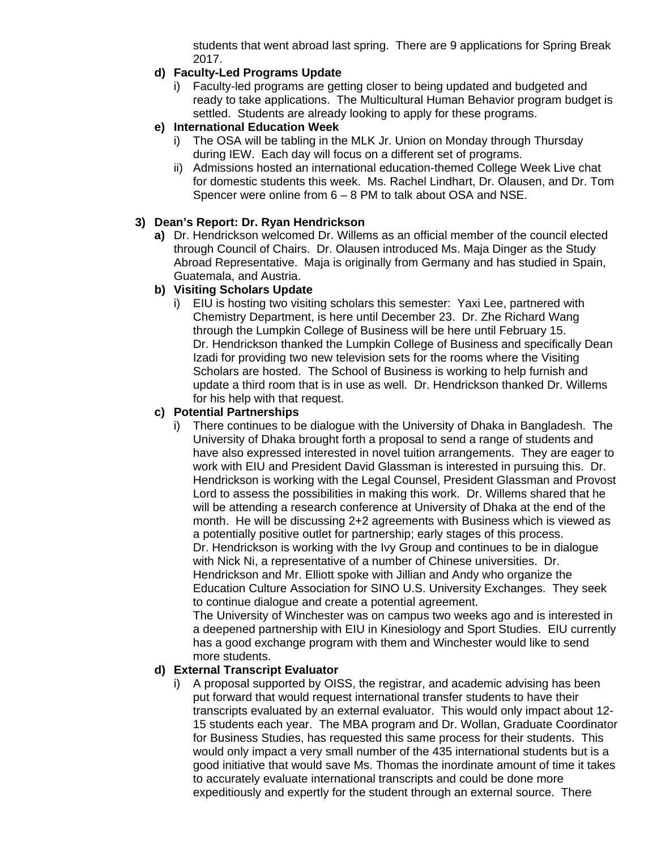students that went abroad last spring. There are 9 applications for Spring Break 2017.

# **d) Faculty-Led Programs Update**

i) Faculty-led programs are getting closer to being updated and budgeted and ready to take applications. The Multicultural Human Behavior program budget is settled. Students are already looking to apply for these programs.

### **e) International Education Week**

- i) The OSA will be tabling in the MLK Jr. Union on Monday through Thursday during IEW. Each day will focus on a different set of programs.
- ii) Admissions hosted an international education-themed College Week Live chat for domestic students this week. Ms. Rachel Lindhart, Dr. Olausen, and Dr. Tom Spencer were online from 6 – 8 PM to talk about OSA and NSE.

### **3) Dean's Report: Dr. Ryan Hendrickson**

**a)** Dr. Hendrickson welcomed Dr. Willems as an official member of the council elected through Council of Chairs. Dr. Olausen introduced Ms. Maja Dinger as the Study Abroad Representative. Maja is originally from Germany and has studied in Spain, Guatemala, and Austria.

### **b) Visiting Scholars Update**

i) EIU is hosting two visiting scholars this semester: Yaxi Lee, partnered with Chemistry Department, is here until December 23. Dr. Zhe Richard Wang through the Lumpkin College of Business will be here until February 15. Dr. Hendrickson thanked the Lumpkin College of Business and specifically Dean Izadi for providing two new television sets for the rooms where the Visiting Scholars are hosted. The School of Business is working to help furnish and update a third room that is in use as well. Dr. Hendrickson thanked Dr. Willems for his help with that request.

### **c) Potential Partnerships**

i) There continues to be dialogue with the University of Dhaka in Bangladesh. The University of Dhaka brought forth a proposal to send a range of students and have also expressed interested in novel tuition arrangements. They are eager to work with EIU and President David Glassman is interested in pursuing this. Dr. Hendrickson is working with the Legal Counsel, President Glassman and Provost Lord to assess the possibilities in making this work. Dr. Willems shared that he will be attending a research conference at University of Dhaka at the end of the month. He will be discussing 2+2 agreements with Business which is viewed as a potentially positive outlet for partnership; early stages of this process. Dr. Hendrickson is working with the Ivy Group and continues to be in dialogue with Nick Ni, a representative of a number of Chinese universities. Dr. Hendrickson and Mr. Elliott spoke with Jillian and Andy who organize the Education Culture Association for SINO U.S. University Exchanges. They seek to continue dialogue and create a potential agreement.

The University of Winchester was on campus two weeks ago and is interested in a deepened partnership with EIU in Kinesiology and Sport Studies. EIU currently has a good exchange program with them and Winchester would like to send more students.

#### **d) External Transcript Evaluator**

i) A proposal supported by OISS, the registrar, and academic advising has been put forward that would request international transfer students to have their transcripts evaluated by an external evaluator. This would only impact about 12- 15 students each year. The MBA program and Dr. Wollan, Graduate Coordinator for Business Studies, has requested this same process for their students. This would only impact a very small number of the 435 international students but is a good initiative that would save Ms. Thomas the inordinate amount of time it takes to accurately evaluate international transcripts and could be done more expeditiously and expertly for the student through an external source. There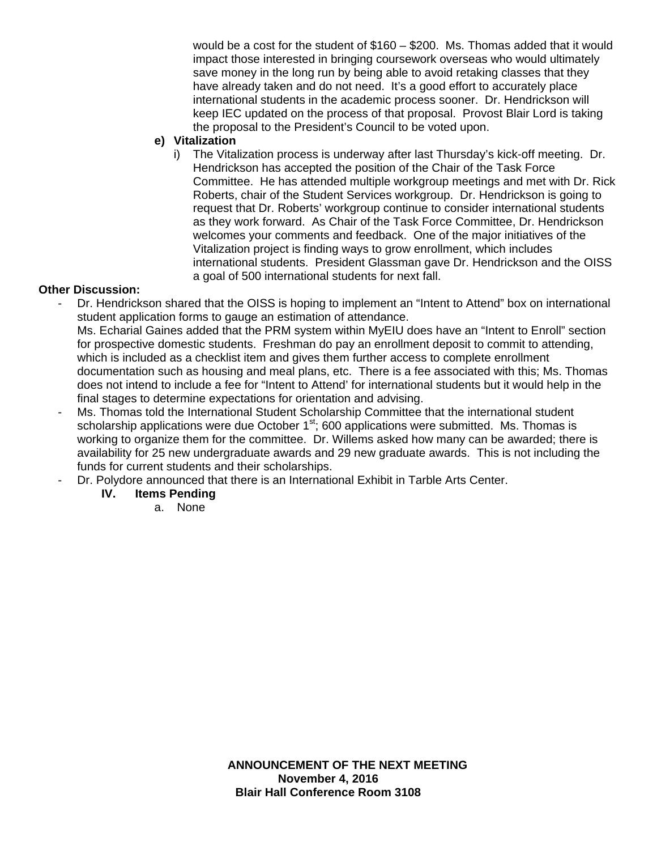would be a cost for the student of \$160 – \$200. Ms. Thomas added that it would impact those interested in bringing coursework overseas who would ultimately save money in the long run by being able to avoid retaking classes that they have already taken and do not need. It's a good effort to accurately place international students in the academic process sooner. Dr. Hendrickson will keep IEC updated on the process of that proposal. Provost Blair Lord is taking the proposal to the President's Council to be voted upon.

### **e) Vitalization**

i) The Vitalization process is underway after last Thursday's kick-off meeting. Dr. Hendrickson has accepted the position of the Chair of the Task Force Committee. He has attended multiple workgroup meetings and met with Dr. Rick Roberts, chair of the Student Services workgroup. Dr. Hendrickson is going to request that Dr. Roberts' workgroup continue to consider international students as they work forward. As Chair of the Task Force Committee, Dr. Hendrickson welcomes your comments and feedback. One of the major initiatives of the Vitalization project is finding ways to grow enrollment, which includes international students. President Glassman gave Dr. Hendrickson and the OISS a goal of 500 international students for next fall.

# **Other Discussion:**

- Dr. Hendrickson shared that the OISS is hoping to implement an "Intent to Attend" box on international student application forms to gauge an estimation of attendance. Ms. Echarial Gaines added that the PRM system within MyEIU does have an "Intent to Enroll" section for prospective domestic students. Freshman do pay an enrollment deposit to commit to attending, which is included as a checklist item and gives them further access to complete enrollment documentation such as housing and meal plans, etc. There is a fee associated with this; Ms. Thomas does not intend to include a fee for "Intent to Attend' for international students but it would help in the final stages to determine expectations for orientation and advising.
- Ms. Thomas told the International Student Scholarship Committee that the international student scholarship applications were due October  $1<sup>st</sup>$ ; 600 applications were submitted. Ms. Thomas is working to organize them for the committee. Dr. Willems asked how many can be awarded; there is availability for 25 new undergraduate awards and 29 new graduate awards. This is not including the funds for current students and their scholarships.
- Dr. Polydore announced that there is an International Exhibit in Tarble Arts Center.
	- **IV. Items Pending** 
		- a. None

**ANNOUNCEMENT OF THE NEXT MEETING November 4, 2016 Blair Hall Conference Room 3108**